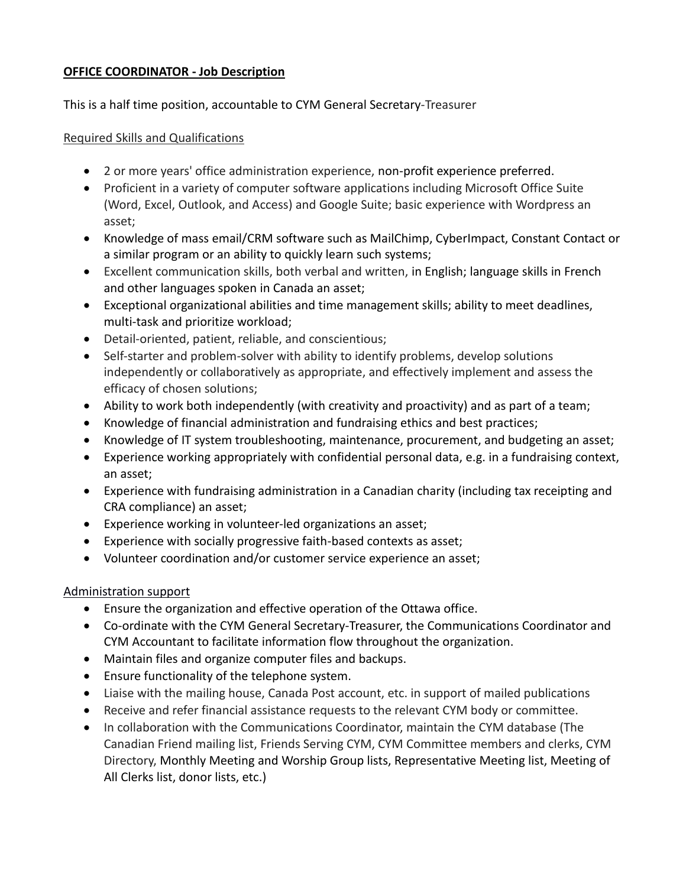## **OFFICE COORDINATOR - Job Description**

This is a half time position, accountable to CYM General Secretary-Treasurer

### Required Skills and Qualifications

- 2 or more years' office administration experience, non-profit experience preferred.
- Proficient in a variety of computer software applications including Microsoft Office Suite (Word, Excel, Outlook, and Access) and Google Suite; basic experience with Wordpress an asset;
- Knowledge of mass email/CRM software such as MailChimp, CyberImpact, Constant Contact or a similar program or an ability to quickly learn such systems;
- Excellent communication skills, both verbal and written, in English; language skills in French and other languages spoken in Canada an asset;
- Exceptional organizational abilities and time management skills; ability to meet deadlines, multi-task and prioritize workload;
- Detail-oriented, patient, reliable, and conscientious;
- Self-starter and problem-solver with ability to identify problems, develop solutions independently or collaboratively as appropriate, and effectively implement and assess the efficacy of chosen solutions;
- Ability to work both independently (with creativity and proactivity) and as part of a team;
- Knowledge of financial administration and fundraising ethics and best practices;
- Knowledge of IT system troubleshooting, maintenance, procurement, and budgeting an asset;
- Experience working appropriately with confidential personal data, e.g. in a fundraising context, an asset;
- Experience with fundraising administration in a Canadian charity (including tax receipting and CRA compliance) an asset;
- Experience working in volunteer-led organizations an asset;
- Experience with socially progressive faith-based contexts as asset;
- Volunteer coordination and/or customer service experience an asset;

#### Administration support

- Ensure the organization and effective operation of the Ottawa office.
- Co-ordinate with the CYM General Secretary-Treasurer, the Communications Coordinator and CYM Accountant to facilitate information flow throughout the organization.
- Maintain files and organize computer files and backups.
- Ensure functionality of the telephone system.
- Liaise with the mailing house, Canada Post account, etc. in support of mailed publications
- Receive and refer financial assistance requests to the relevant CYM body or committee.
- In collaboration with the Communications Coordinator, maintain the CYM database (The Canadian Friend mailing list, Friends Serving CYM, CYM Committee members and clerks, CYM Directory, Monthly Meeting and Worship Group lists, Representative Meeting list, Meeting of All Clerks list, donor lists, etc.)